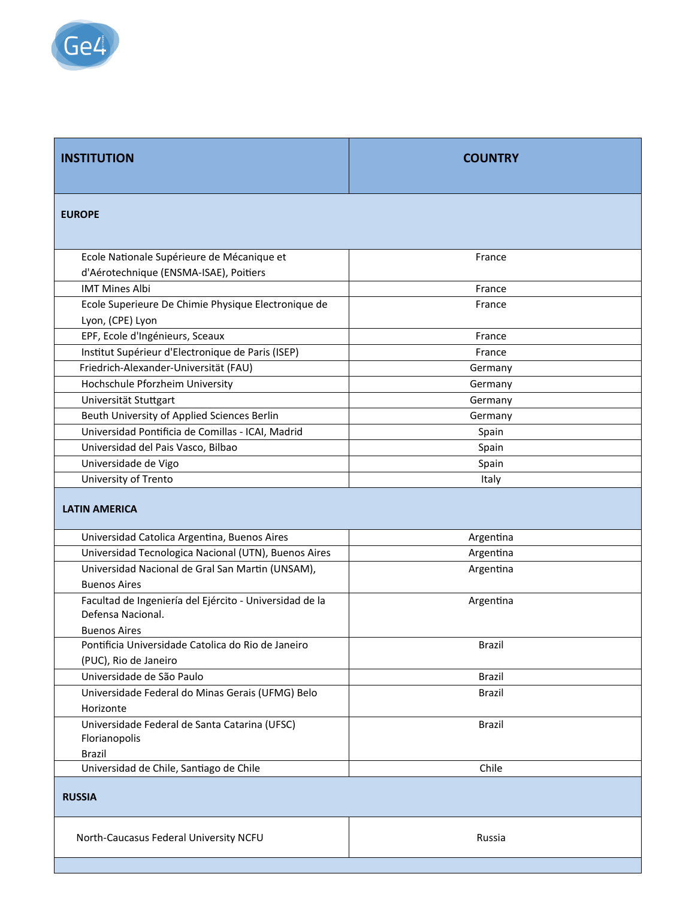

| <b>INSTITUTION</b>                                                                                  | <b>COUNTRY</b> |  |
|-----------------------------------------------------------------------------------------------------|----------------|--|
| <b>EUROPE</b>                                                                                       |                |  |
| Ecole Nationale Supérieure de Mécanique et                                                          | France         |  |
| d'Aérotechnique (ENSMA-ISAE), Poitiers                                                              |                |  |
| <b>IMT Mines Albi</b>                                                                               | France         |  |
| Ecole Superieure De Chimie Physique Electronique de                                                 | France         |  |
| Lyon, (CPE) Lyon                                                                                    |                |  |
| EPF, Ecole d'Ingénieurs, Sceaux                                                                     | France         |  |
| Institut Supérieur d'Electronique de Paris (ISEP)                                                   | France         |  |
| Friedrich-Alexander-Universität (FAU)                                                               | Germany        |  |
| Hochschule Pforzheim University                                                                     | Germany        |  |
| Universität Stuttgart                                                                               | Germany        |  |
| Beuth University of Applied Sciences Berlin                                                         | Germany        |  |
| Universidad Pontificia de Comillas - ICAI, Madrid                                                   | Spain          |  |
| Universidad del Pais Vasco, Bilbao                                                                  | Spain          |  |
| Universidade de Vigo                                                                                | Spain          |  |
| University of Trento                                                                                | Italy          |  |
| <b>LATIN AMERICA</b>                                                                                |                |  |
| Universidad Catolica Argentina, Buenos Aires                                                        | Argentina      |  |
| Universidad Tecnologica Nacional (UTN), Buenos Aires                                                | Argentina      |  |
| Universidad Nacional de Gral San Martin (UNSAM),                                                    | Argentina      |  |
| <b>Buenos Aires</b>                                                                                 |                |  |
| Facultad de Ingeniería del Ejército - Universidad de la<br>Defensa Nacional.<br><b>Buenos Aires</b> | Argentina      |  |
| Pontificia Universidade Catolica do Rio de Janeiro                                                  | Brazil         |  |
| (PUC), Rio de Janeiro                                                                               |                |  |
| Universidade de São Paulo                                                                           | Brazil         |  |
| Universidade Federal do Minas Gerais (UFMG) Belo                                                    | Brazil         |  |
| Horizonte                                                                                           |                |  |
| Universidade Federal de Santa Catarina (UFSC)<br>Florianopolis                                      | <b>Brazil</b>  |  |
| <b>Brazil</b>                                                                                       |                |  |
| Universidad de Chile, Santiago de Chile                                                             | Chile          |  |
| <b>RUSSIA</b>                                                                                       |                |  |
| North-Caucasus Federal University NCFU                                                              | Russia         |  |